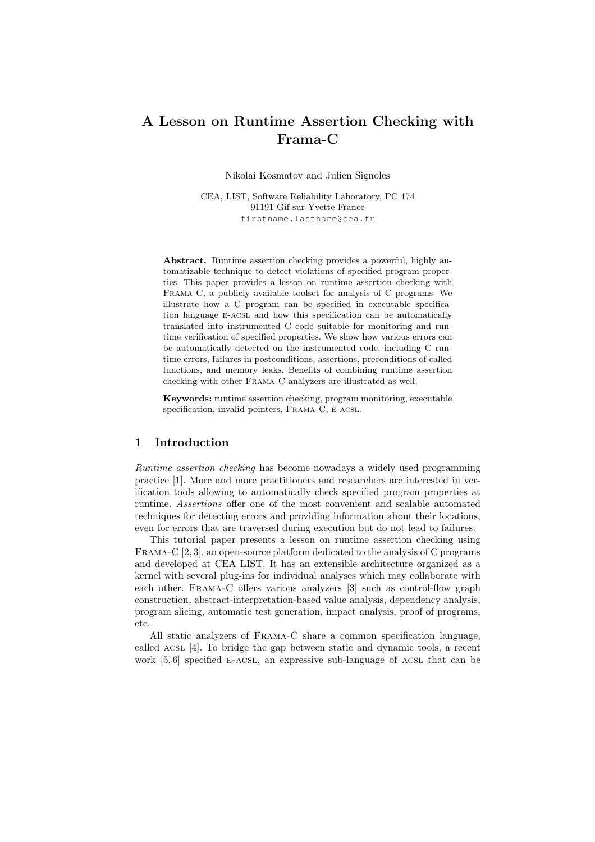# A Lesson on Runtime Assertion Checking with Frama-C

Nikolai Kosmatov and Julien Signoles

CEA, LIST, Software Reliability Laboratory, PC 174 91191 Gif-sur-Yvette France firstname.lastname@cea.fr

Abstract. Runtime assertion checking provides a powerful, highly automatizable technique to detect violations of specified program properties. This paper provides a lesson on runtime assertion checking with Frama-C, a publicly available toolset for analysis of C programs. We illustrate how a C program can be specified in executable specification language e-acsl and how this specification can be automatically translated into instrumented C code suitable for monitoring and runtime verification of specified properties. We show how various errors can be automatically detected on the instrumented code, including C runtime errors, failures in postconditions, assertions, preconditions of called functions, and memory leaks. Benefits of combining runtime assertion checking with other Frama-C analyzers are illustrated as well.

Keywords: runtime assertion checking, program monitoring, executable specification, invalid pointers, Frama-C, e-acsl.

## 1 Introduction

Runtime assertion checking has become nowadays a widely used programming practice [1]. More and more practitioners and researchers are interested in verification tools allowing to automatically check specified program properties at runtime. Assertions offer one of the most convenient and scalable automated techniques for detecting errors and providing information about their locations, even for errors that are traversed during execution but do not lead to failures.

This tutorial paper presents a lesson on runtime assertion checking using Frama-C [2, 3], an open-source platform dedicated to the analysis of C programs and developed at CEA LIST. It has an extensible architecture organized as a kernel with several plug-ins for individual analyses which may collaborate with each other. Frama-C offers various analyzers [3] such as control-flow graph construction, abstract-interpretation-based value analysis, dependency analysis, program slicing, automatic test generation, impact analysis, proof of programs, etc.

All static analyzers of Frama-C share a common specification language, called acsl [4]. To bridge the gap between static and dynamic tools, a recent work [5, 6] specified E-ACSL, an expressive sub-language of ACSL that can be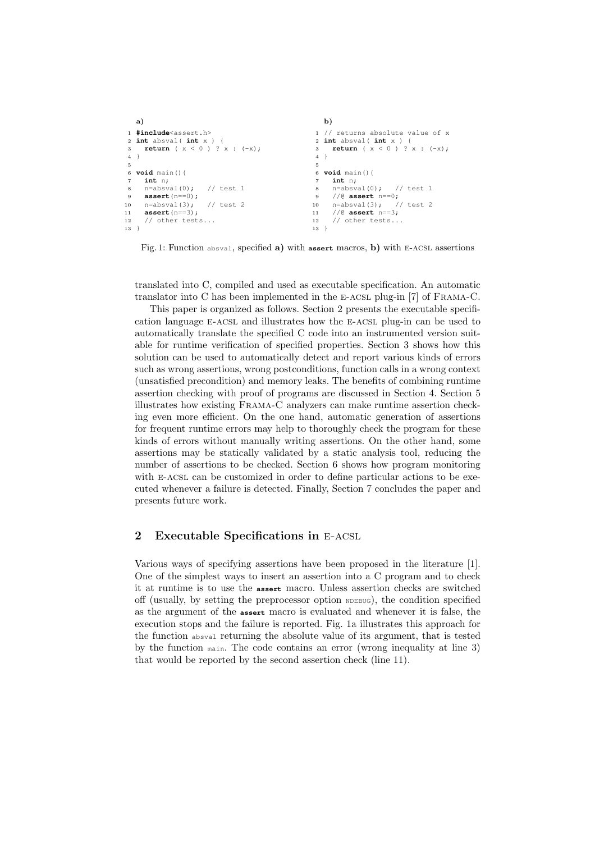```
a) b)
1 #include<assert.h>
2 int absval( int x ) {
3 return ( x < 0 ) ? x : (-x);
  \rightarrow5
6 void main(){
7 int n;
8 n=absval(0): // test 1
9 assert(n==0);
10 n=absval(3); // test 2
11 assert(n==3);
12 // other tests...
13 }
                                            1 // returns absolute value of x
                                            2 int absval( int x ) {
                                              3 return ( x < 0 ) ? x : (-x);
                                            4 }
                                            5
                                            6 void main(){
                                            7 int n;
                                            8 n=absval(0): // test 1
                                            9 //@ assert n==0;<br>10    n=absval(3); // test 2
                                                n=absval(3);11 //@ assert n==3;
                                           12 // other tests...
                                           13 }
```
Fig. 1: Function absval, specified a) with **assert** macros, b) with e-acsl assertions

translated into C, compiled and used as executable specification. An automatic translator into C has been implemented in the e-acsl plug-in [7] of Frama-C.

This paper is organized as follows. Section 2 presents the executable specification language e-acsl and illustrates how the e-acsl plug-in can be used to automatically translate the specified C code into an instrumented version suitable for runtime verification of specified properties. Section 3 shows how this solution can be used to automatically detect and report various kinds of errors such as wrong assertions, wrong postconditions, function calls in a wrong context (unsatisfied precondition) and memory leaks. The benefits of combining runtime assertion checking with proof of programs are discussed in Section 4. Section 5 illustrates how existing Frama-C analyzers can make runtime assertion checking even more efficient. On the one hand, automatic generation of assertions for frequent runtime errors may help to thoroughly check the program for these kinds of errors without manually writing assertions. On the other hand, some assertions may be statically validated by a static analysis tool, reducing the number of assertions to be checked. Section 6 shows how program monitoring with E-ACSL can be customized in order to define particular actions to be executed whenever a failure is detected. Finally, Section 7 concludes the paper and presents future work.

## 2 Executable Specifications in E-ACSL

Various ways of specifying assertions have been proposed in the literature [1]. One of the simplest ways to insert an assertion into a C program and to check it at runtime is to use the **assert** macro. Unless assertion checks are switched off (usually, by setting the preprocessor option  $MDEBUS$ ), the condition specified as the argument of the **assert** macro is evaluated and whenever it is false, the execution stops and the failure is reported. Fig. 1a illustrates this approach for the function absval returning the absolute value of its argument, that is tested by the function main. The code contains an error (wrong inequality at line 3) that would be reported by the second assertion check (line 11).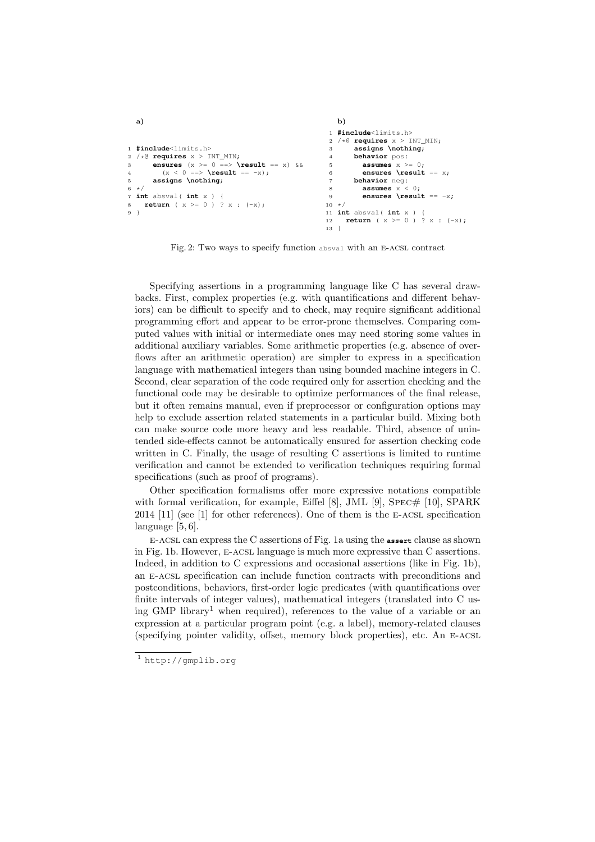```
a) b)
1 #include<limits.h><br>2 /*<sup>0</sup> requires x > 1
2 / * @ requires x > INT\_MIN;<br>3 ensures (x > = 0 == > 1)ensures (x \ge 0 ==) \result == x) &&
4 (x < 0 \implies \text{result} == -x);5 assigns \nothing;
\frac{6}{7}int absval( int x ) {
8 return (x > = 0) ? x : (-x);
 \rightarrow1 #include<limits.h>
                                                     2 /*@ requires x > INT_MIN;
                                                            assigns \nothing;
                                                            behavior pos:
                                                     5 assumes x >= 0;
                                                     6 ensures \result == x;
                                                     7 behavior neg:
                                                     8 assumes x < 0;<br>9 ensures \resul
                                                              ensures \text{result} == -x;10 *11 int absval( int x ) {
                                                    12 return ( x >= 0 ) ? x : (-x);
                                                    13 }
```
Fig. 2: Two ways to specify function absval with an e-acsl contract

Specifying assertions in a programming language like C has several drawbacks. First, complex properties (e.g. with quantifications and different behaviors) can be difficult to specify and to check, may require significant additional programming effort and appear to be error-prone themselves. Comparing computed values with initial or intermediate ones may need storing some values in additional auxiliary variables. Some arithmetic properties (e.g. absence of overflows after an arithmetic operation) are simpler to express in a specification language with mathematical integers than using bounded machine integers in C. Second, clear separation of the code required only for assertion checking and the functional code may be desirable to optimize performances of the final release, but it often remains manual, even if preprocessor or configuration options may help to exclude assertion related statements in a particular build. Mixing both can make source code more heavy and less readable. Third, absence of unintended side-effects cannot be automatically ensured for assertion checking code written in C. Finally, the usage of resulting C assertions is limited to runtime verification and cannot be extended to verification techniques requiring formal specifications (such as proof of programs).

Other specification formalisms offer more expressive notations compatible with formal verification, for example, Eiffel  $[8]$ , JML  $[9]$ , SPEC $\#$   $[10]$ , SPARK 2014 [11] (see [1] for other references). One of them is the e-acsl specification language [5, 6].

e-acsl can express the C assertions of Fig. 1a using the **assert** clause as shown in Fig. 1b. However, e-acsl language is much more expressive than C assertions. Indeed, in addition to C expressions and occasional assertions (like in Fig. 1b), an e-acsl specification can include function contracts with preconditions and postconditions, behaviors, first-order logic predicates (with quantifications over finite intervals of integer values), mathematical integers (translated into C using GMP library<sup>1</sup> when required), references to the value of a variable or an expression at a particular program point (e.g. a label), memory-related clauses (specifying pointer validity, offset, memory block properties), etc. An e-acsl

<sup>1</sup> http://gmplib.org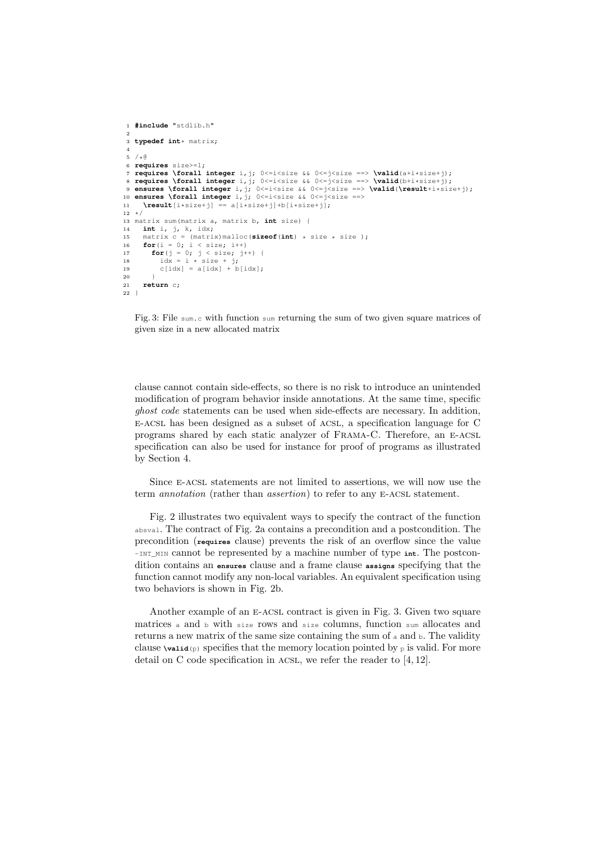```
1 #include "stdlib.h"
 2
 3 typedef int* matrix;
 4
 5 /*(a)6 requires size>=1;
 7 requires \forall integer i,j; 0<=i<size && 0<=j<size ==> \valid(a+i*size+j);<br>8 requires \forall integer i,j; 0<=i<size && 0<=j<size ==> \valid(b+i*size+j);<br>9 ensures \forall integer i,j; 0<=i<size && 0<=j<size 
10 ensures \forall integer i,j; 0<=i<size && 0<=j<size ==><br>11 \result[i*size+j] == a[i*size+j]+b[i*size+j];
12 */
13 matrix sum(matrix a, matrix b, int size) {
14 int i, j, k, idx;
15 matrix c = (matrix)malloc(sizeof(int) * size * size );<br>16 for(i = 0; i < size; i++)
       for(i = 0; i < size; i++)17 for(j = 0; j < size; j++) {
18 idx = i * size + j;
19 c[idx] = a[idx] + b[idx];
20 }
21 return c;
22 }
```
Fig. 3: File sum.c with function sum returning the sum of two given square matrices of given size in a new allocated matrix

clause cannot contain side-effects, so there is no risk to introduce an unintended modification of program behavior inside annotations. At the same time, specific ghost code statements can be used when side-effects are necessary. In addition, e-acsl has been designed as a subset of acsl, a specification language for C programs shared by each static analyzer of Frama-C. Therefore, an e-acsl specification can also be used for instance for proof of programs as illustrated by Section 4.

Since e-acsl statements are not limited to assertions, we will now use the term annotation (rather than assertion) to refer to any E-ACSL statement.

Fig. 2 illustrates two equivalent ways to specify the contract of the function absval. The contract of Fig. 2a contains a precondition and a postcondition. The precondition (**requires** clause) prevents the risk of an overflow since the value -INT\_MIN cannot be represented by a machine number of type **int**. The postcondition contains an **ensures** clause and a frame clause **assigns** specifying that the function cannot modify any non-local variables. An equivalent specification using two behaviors is shown in Fig. 2b.

Another example of an E-ACSL contract is given in Fig. 3. Given two square matrices <sup>a</sup> and <sup>b</sup> with size rows and size columns, function sum allocates and returns a new matrix of the same size containing the sum of  $\alpha$  and  $\beta$ . The validity clause  $\text{valid}(p)$  specifies that the memory location pointed by p is valid. For more detail on C code specification in acsl, we refer the reader to [4, 12].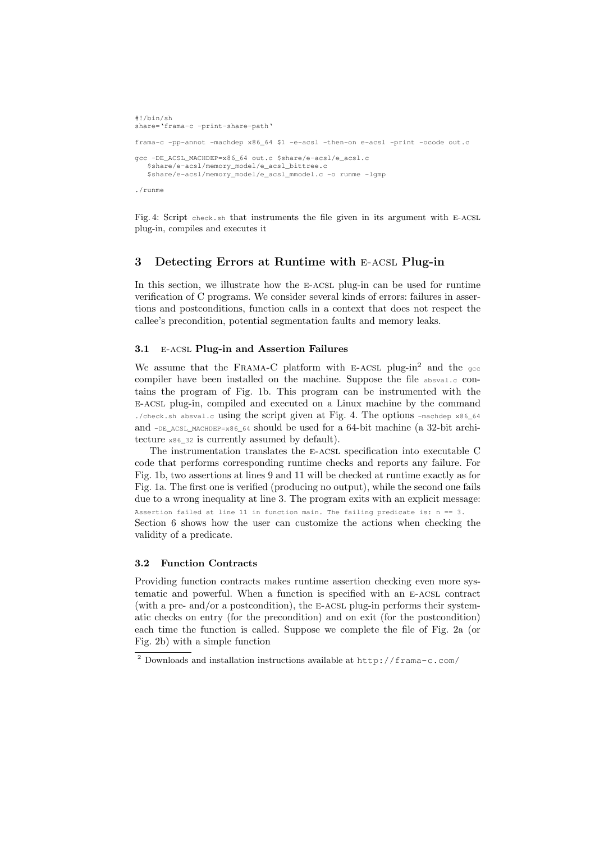```
#!/bin/sh
share='frama-c -print-share-path'
frama-c -pp-annot -machdep x86_64 $1 -e-acsl -then-on e-acsl -print -ocode out.c
gcc -DE_ACSL_MACHDEP=x86_64 out.c $share/e-acsl/e_acsl.c
  $share/e-acsl/memory_model/e_acsl_bittree.c
  $share/e-acsl/memory_model/e_acsl_mmodel.c -o runme -lgmp
./runme
```
Fig. 4: Script check.sh that instruments the file given in its argument with E-ACSL plug-in, compiles and executes it

# 3 Detecting Errors at Runtime with e-acsl Plug-in

In this section, we illustrate how the E-ACSL plug-in can be used for runtime verification of C programs. We consider several kinds of errors: failures in assertions and postconditions, function calls in a context that does not respect the callee's precondition, potential segmentation faults and memory leaks.

### 3.1 E-ACSL Plug-in and Assertion Failures

We assume that the FRAMA-C platform with E-ACSL plug-in<sup>2</sup> and the  $qcc$ compiler have been installed on the machine. Suppose the file absval.c contains the program of Fig. 1b. This program can be instrumented with the e-acsl plug-in, compiled and executed on a Linux machine by the command ./check.sh absval.c using the script given at Fig. 4. The options  $-$ machdep x86.64 and -DE\_ACSL\_MACHDEP=x86\_64 should be used for a 64-bit machine (a 32-bit architecture x86\_32 is currently assumed by default).

The instrumentation translates the e-acsl specification into executable C code that performs corresponding runtime checks and reports any failure. For Fig. 1b, two assertions at lines 9 and 11 will be checked at runtime exactly as for Fig. 1a. The first one is verified (producing no output), while the second one fails due to a wrong inequality at line 3. The program exits with an explicit message: Assertion failed at line 11 in function main. The failing predicate is:  $n == 3$ . Section 6 shows how the user can customize the actions when checking the validity of a predicate.

### 3.2 Function Contracts

Providing function contracts makes runtime assertion checking even more systematic and powerful. When a function is specified with an e-acsl contract (with a pre- and/or a postcondition), the e-acsl plug-in performs their systematic checks on entry (for the precondition) and on exit (for the postcondition) each time the function is called. Suppose we complete the file of Fig. 2a (or Fig. 2b) with a simple function

<sup>&</sup>lt;sup>2</sup> Downloads and installation instructions available at http://frama-c.com/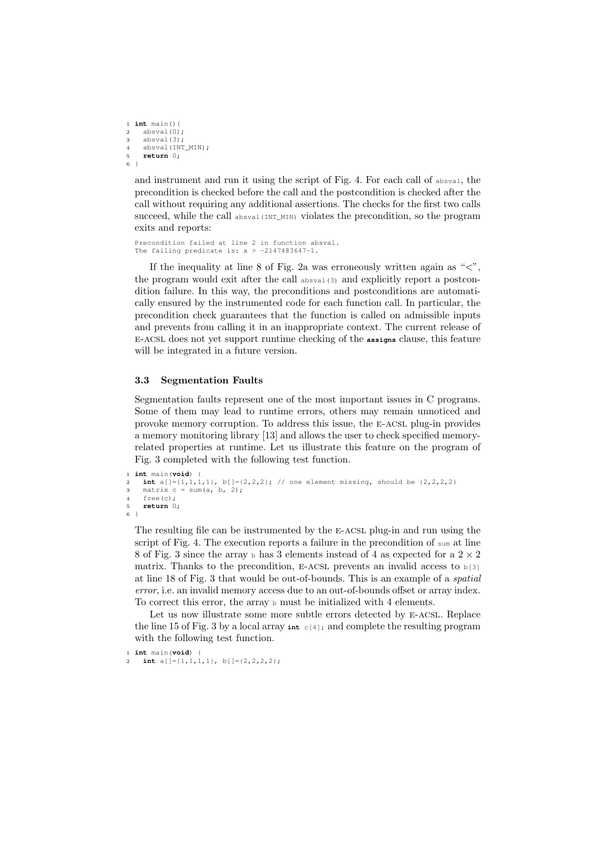```
1 int main(){
2 absval(0);
3 absval(3);
4 absval(INT_MIN);
5 return 0;
6 }
```
and instrument and run it using the script of Fig. 4. For each call of absval, the precondition is checked before the call and the postcondition is checked after the call without requiring any additional assertions. The checks for the first two calls succeed, while the call  $_{\text{absval}}$  (INT\_MIN) violates the precondition, so the program exits and reports:

```
Precondition failed at line 2 in function absval.
The failing predicate is: x > -2147483647-1.
```
If the inequality at line 8 of Fig. 2a was erroneously written again as " $\lt$ ", the program would exit after the call absval(3) and explicitly report a postcondition failure. In this way, the preconditions and postconditions are automatically ensured by the instrumented code for each function call. In particular, the precondition check guarantees that the function is called on admissible inputs and prevents from calling it in an inappropriate context. The current release of e-acsl does not yet support runtime checking of the **assigns** clause, this feature will be integrated in a future version.

### 3.3 Segmentation Faults

Segmentation faults represent one of the most important issues in C programs. Some of them may lead to runtime errors, others may remain unnoticed and provoke memory corruption. To address this issue, the e-acsl plug-in provides a memory monitoring library [13] and allows the user to check specified memoryrelated properties at runtime. Let us illustrate this feature on the program of Fig. 3 completed with the following test function.

```
int main(void)
    int a[]=\{1,1,1,1\}, b[]=\{2,2,2\}; // one element missing, should be \{2,2,2,2\}matrix c = sum(a, b, 2);4 free(c);
5 return 0;
\overline{6}
```
The resulting file can be instrumented by the e-acsl plug-in and run using the script of Fig. 4. The execution reports a failure in the precondition of sum at line 8 of Fig. 3 since the array  $\frac{1}{2}$  has 3 elements instead of 4 as expected for a  $2 \times 2$ matrix. Thanks to the precondition, E-ACSL prevents an invalid access to  $b[3]$ at line 18 of Fig. 3 that would be out-of-bounds. This is an example of a spatial error, i.e. an invalid memory access due to an out-of-bounds offset or array index. To correct this error, the array <sup>b</sup> must be initialized with 4 elements.

Let us now illustrate some more subtle errors detected by E-ACSL. Replace the line 15 of Fig. 3 by a local array  $\text{int } c[4]$ ; and complete the resulting program with the following test function.

```
1 int main(void) {
    int a[] = \{1, 1, 1, 1\}, b[] = \{2, 2, 2, 2\};
```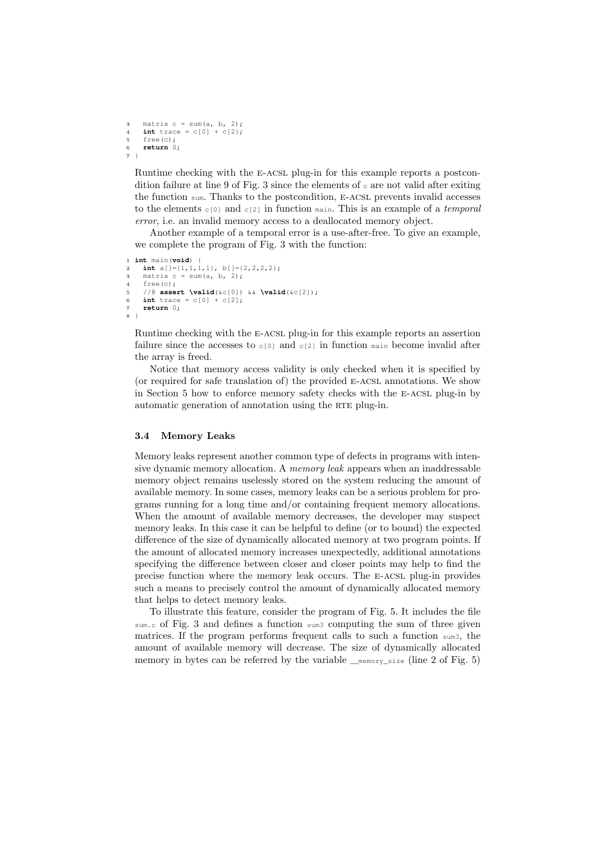```
3 matrix c = sum(a, b, 2);
4 int trace = c[0] + c[2};
5 free(c);
6 return 0;
\overline{7}
```
Runtime checking with the e-acsl plug-in for this example reports a postcondition failure at line 9 of Fig. 3 since the elements of  $\epsilon$  are not valid after exiting the function sum. Thanks to the postcondition, e-acsl prevents invalid accesses to the elements  $c[0]$  and  $c[2]$  in function main. This is an example of a temporal error, i.e. an invalid memory access to a deallocated memory object.

Another example of a temporal error is a use-after-free. To give an example, we complete the program of Fig. 3 with the function:

```
1 int main(void) {
    int a[] = \{1, 1, 1, 1\}, b[] = \{2, 2, 2, 2\};
3 matrix c = sum(a, b, 2);
    free(c);5 //@ assert \valid(&c[0]) && \valid(&c[2]);
    int trace = c[0] + c[2];
    7 return 0;
8<sup>1</sup>
```
Runtime checking with the e-acsl plug-in for this example reports an assertion failure since the accesses to  $c[0]$  and  $c[2]$  in function main become invalid after the array is freed.

Notice that memory access validity is only checked when it is specified by (or required for safe translation of) the provided e-acsl annotations. We show in Section 5 how to enforce memory safety checks with the e-acsl plug-in by automatic generation of annotation using the RTE plug-in.

### 3.4 Memory Leaks

Memory leaks represent another common type of defects in programs with intensive dynamic memory allocation. A *memory leak* appears when an inaddressable memory object remains uselessly stored on the system reducing the amount of available memory. In some cases, memory leaks can be a serious problem for programs running for a long time and/or containing frequent memory allocations. When the amount of available memory decreases, the developer may suspect memory leaks. In this case it can be helpful to define (or to bound) the expected difference of the size of dynamically allocated memory at two program points. If the amount of allocated memory increases unexpectedly, additional annotations specifying the difference between closer and closer points may help to find the precise function where the memory leak occurs. The e-acsl plug-in provides such a means to precisely control the amount of dynamically allocated memory that helps to detect memory leaks.

To illustrate this feature, consider the program of Fig. 5. It includes the file sum.c of Fig. 3 and defines a function sum3 computing the sum of three given matrices. If the program performs frequent calls to such a function sum3, the amount of available memory will decrease. The size of dynamically allocated memory in bytes can be referred by the variable  $\text{__memory\_size}$  (line 2 of Fig. 5)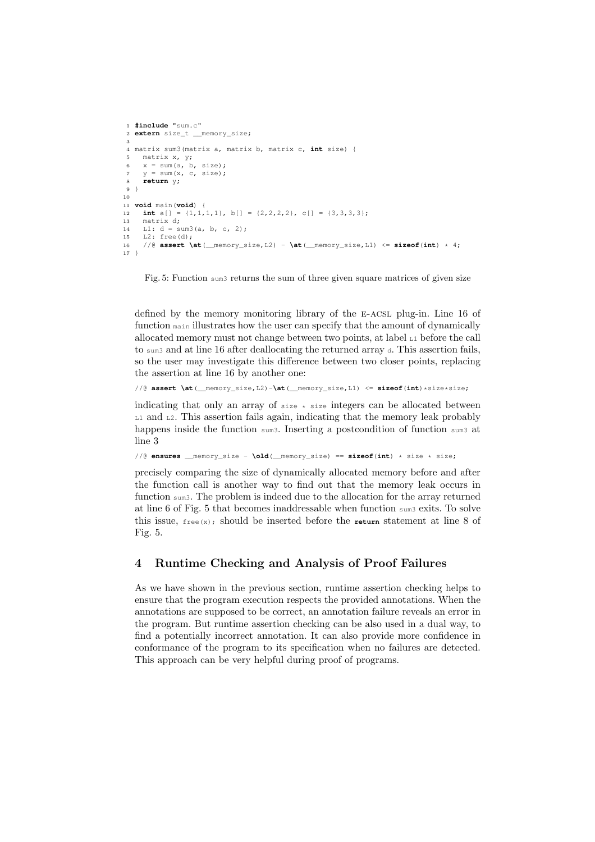```
1 #include "sum.c"
2 extern size_t __memory_size;
 3
4 matrix sum3(matrix a, matrix b, matrix c, int size) {
    matrix x, y;
    x = sum(a, b, size);y = sum(x, c, size);8 return y;
9 }
10
11 void main(void) {
    int a[] = {1,1,1,1}, b[] = {2,2,2,2}, c[] = {3,3,3,3};
13 matrix d;
14 L1: d = \text{sum3}(a, b, c, 2);
15 L2: free(d);
16 //@ assert \at(__memory_size,L2) - \at(__memory_size,L1) <= sizeof(int) * 4;
17 }
```
Fig. 5: Function sum3 returns the sum of three given square matrices of given size

defined by the memory monitoring library of the e-acsl plug-in. Line 16 of function main illustrates how the user can specify that the amount of dynamically allocated memory must not change between two points, at label L1 before the call to sum3 and at line 16 after deallocating the returned array <sup>d</sup>. This assertion fails, so the user may investigate this difference between two closer points, replacing the assertion at line 16 by another one:

//@ **assert \at**(\_\_memory\_size,L2)-**\at**(\_\_memory\_size,L1) <= **sizeof**(**int**)\*size\*size;

indicating that only an array of  $size * size$  integers can be allocated between L1 and L2. This assertion fails again, indicating that the memory leak probably happens inside the function sum3. Inserting a postcondition of function sum3 at line 3

//@ **ensures** \_\_memory\_size - **\old**(\_\_memory\_size) == **sizeof**(**int**) \* size \* size;

precisely comparing the size of dynamically allocated memory before and after the function call is another way to find out that the memory leak occurs in function sum3. The problem is indeed due to the allocation for the array returned at line 6 of Fig. 5 that becomes inaddressable when function sum3 exits. To solve this issue,  $f_{\text{ree}(x)}$ ; should be inserted before the **return** statement at line 8 of Fig. 5.

# 4 Runtime Checking and Analysis of Proof Failures

As we have shown in the previous section, runtime assertion checking helps to ensure that the program execution respects the provided annotations. When the annotations are supposed to be correct, an annotation failure reveals an error in the program. But runtime assertion checking can be also used in a dual way, to find a potentially incorrect annotation. It can also provide more confidence in conformance of the program to its specification when no failures are detected. This approach can be very helpful during proof of programs.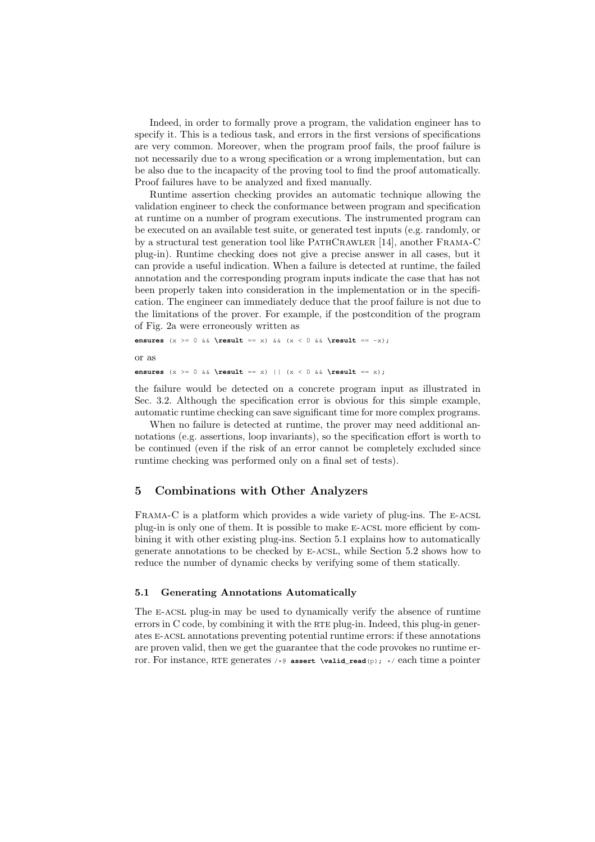Indeed, in order to formally prove a program, the validation engineer has to specify it. This is a tedious task, and errors in the first versions of specifications are very common. Moreover, when the program proof fails, the proof failure is not necessarily due to a wrong specification or a wrong implementation, but can be also due to the incapacity of the proving tool to find the proof automatically. Proof failures have to be analyzed and fixed manually.

Runtime assertion checking provides an automatic technique allowing the validation engineer to check the conformance between program and specification at runtime on a number of program executions. The instrumented program can be executed on an available test suite, or generated test inputs (e.g. randomly, or by a structural test generation tool like PathCrawler [14], another Frama-C plug-in). Runtime checking does not give a precise answer in all cases, but it can provide a useful indication. When a failure is detected at runtime, the failed annotation and the corresponding program inputs indicate the case that has not been properly taken into consideration in the implementation or in the specification. The engineer can immediately deduce that the proof failure is not due to the limitations of the prover. For example, if the postcondition of the program of Fig. 2a were erroneously written as

**ensures**  $(x \ge 0 \&&\text{result} == x) &&\text{(}x < 0 &&\text{result} == -x);$ or as **ensures**  $(X \ge 0 \&& \text{result} == X) || (X \le 0 \&& \text{result} == X);$ 

the failure would be detected on a concrete program input as illustrated in Sec. 3.2. Although the specification error is obvious for this simple example, automatic runtime checking can save significant time for more complex programs.

When no failure is detected at runtime, the prover may need additional annotations (e.g. assertions, loop invariants), so the specification effort is worth to be continued (even if the risk of an error cannot be completely excluded since runtime checking was performed only on a final set of tests).

### 5 Combinations with Other Analyzers

FRAMA-C is a platform which provides a wide variety of plug-ins. The E-ACSL plug-in is only one of them. It is possible to make e-acsl more efficient by combining it with other existing plug-ins. Section 5.1 explains how to automatically generate annotations to be checked by e-acsl, while Section 5.2 shows how to reduce the number of dynamic checks by verifying some of them statically.

#### 5.1 Generating Annotations Automatically

The e-acsl plug-in may be used to dynamically verify the absence of runtime errors in C code, by combining it with the RTE plug-in. Indeed, this plug-in generates e-acsl annotations preventing potential runtime errors: if these annotations are proven valid, then we get the guarantee that the code provokes no runtime error. For instance, RTE generates  $\forall x \in \mathbb{Z}$  assert \valid\_read(p);  $\forall x$  each time a pointer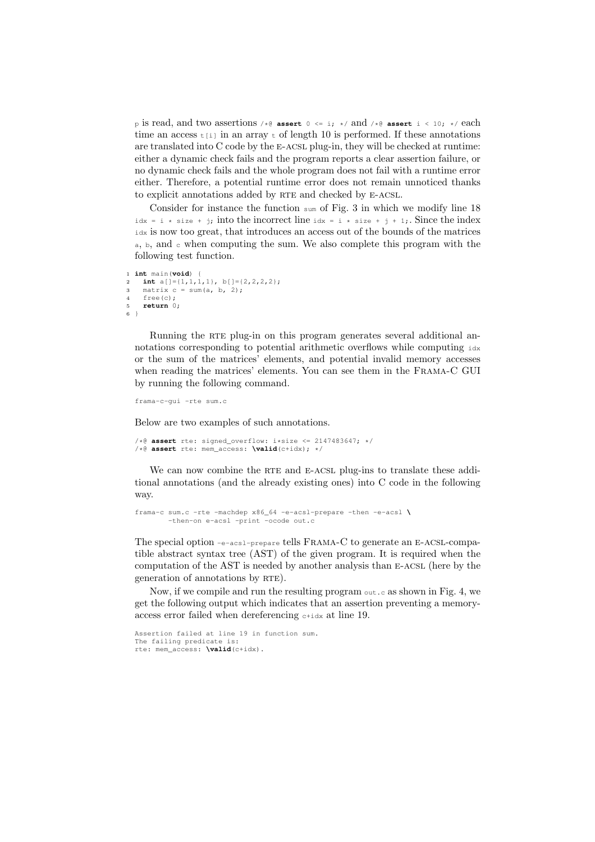<sup>p</sup> is read, and two assertions /\*@ **assert** 0 <= i; \*/ and /\*@ **assert** i < 10; \*/ each time an access  $\epsilon_{[i]}$  in an array  $\epsilon$  of length 10 is performed. If these annotations are translated into C code by the e-acsl plug-in, they will be checked at runtime: either a dynamic check fails and the program reports a clear assertion failure, or no dynamic check fails and the whole program does not fail with a runtime error either. Therefore, a potential runtime error does not remain unnoticed thanks to explicit annotations added by RTE and checked by E-ACSL.

Consider for instance the function sum of Fig. 3 in which we modify line 18 idx = i \* size + j; into the incorrect line idx = i \* size + j + 1;. Since the index idx is now too great, that introduces an access out of the bounds of the matrices a, b, and c when computing the sum. We also complete this program with the following test function.

```
1 int main(void) {
2 int a[] = \{1, 1, 1, 1\}, b[] = \{2, 2, 2, 2\};<br>3 matrix c = sum(a, b, 2);
4 free(c);
     5 return 0;
6 }
```
Running the RTE plug-in on this program generates several additional annotations corresponding to potential arithmetic overflows while computing  $\frac{1}{1}d\mathbf{x}$ or the sum of the matrices' elements, and potential invalid memory accesses when reading the matrices' elements. You can see them in the Frama-C GUI by running the following command.

```
frama-c-gui -rte sum.c
```
Below are two examples of such annotations.

```
/*@ assert rte: signed_overflow: i*size <= 2147483647; */
/*@ assert rte: mem_access: \valid(c+idx); */
```
We can now combine the RTE and E-ACSL plug-ins to translate these additional annotations (and the already existing ones) into C code in the following way.

```
frama-c sum.c -rte -machdep x86_64 -e-acsl-prepare -then -e-acsl \
       -then-on e-acsl -print -ocode out.c
```
The special option  $-e$ -acs1-prepare tells FRAMA-C to generate an E-ACSL-compatible abstract syntax tree (AST) of the given program. It is required when the computation of the AST is needed by another analysis than e-acsl (here by the generation of annotations by RTE).

Now, if we compile and run the resulting program out.c as shown in Fig. 4, we get the following output which indicates that an assertion preventing a memoryaccess error failed when dereferencing c+idx at line 19.

```
Assertion failed at line 19 in function sum.
The failing predicate is:
rte: mem_access: \valid(c+idx).
```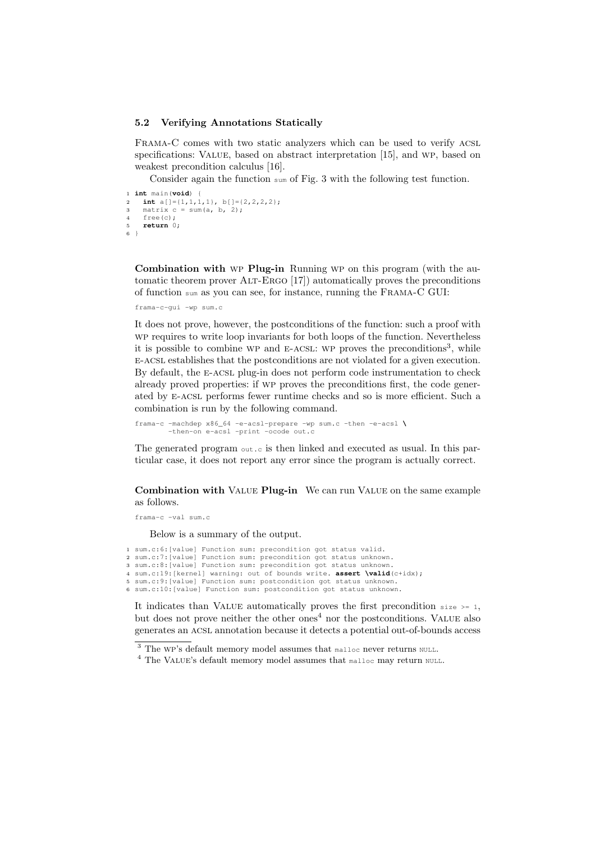#### 5.2 Verifying Annotations Statically

Frama-C comes with two static analyzers which can be used to verify acsl specifications: VALUE, based on abstract interpretation [15], and WP, based on weakest precondition calculus [16].

Consider again the function sum of Fig. 3 with the following test function.

1 **int** main (**void**)<br>2 **int**  $a[1=11,1]$ int  $a[] = \{1, 1, 1, 1\}$ ,  $b[] = \{2, 2, 2, 2\}$ ;  $matrix c = sum(a, b, 2);$  $4$  free(c): 5 **return** 0;  $6<sup>-1</sup>$ 

Combination with wp Plug-in Running wp on this program (with the automatic theorem prover Alt-Ergo [17]) automatically proves the preconditions of function sum as you can see, for instance, running the Frama-C GUI:

frama-c-gui -wp sum.c

It does not prove, however, the postconditions of the function: such a proof with wp requires to write loop invariants for both loops of the function. Nevertheless it is possible to combine WP and E-ACSL: WP proves the preconditions<sup>3</sup>, while e-acsl establishes that the postconditions are not violated for a given execution. By default, the e-acsl plug-in does not perform code instrumentation to check already proved properties: if wp proves the preconditions first, the code generated by e-acsl performs fewer runtime checks and so is more efficient. Such a combination is run by the following command.

```
frama-c -machdep x86_64 -e-acsl-prepare -wp sum.c -then -e-acsl \
        -then-on e-acsl -print -ocode out.c
```
The generated program out.c is then linked and executed as usual. In this particular case, it does not report any error since the program is actually correct.

Combination with Value Plug-in We can run Value on the same example as follows.

frama-c -val sum.c

Below is a summary of the output.

```
1 sum.c:6:[value] Function sum: precondition got status valid.
```
2 sum.c:7:[value] Function sum: precondition got status unknown. 3 sum.c:8:[value] Function sum: precondition got status unknown.

- 
- 4 sum.c:19:[kernel] warning: out of bounds write. **assert \valid**(c+idx); 5 sum.c:9:[value] Function sum: postcondition got status unknown.
- 6 sum.c:10:[value] Function sum: postcondition got status unknown.

It indicates than VALUE automatically proves the first precondition size  $\geq 1$ , but does not prove neither the other ones<sup>4</sup> nor the postconditions. VALUE also generates an acsl annotation because it detects a potential out-of-bounds access

 $^3$  The WP's default memory model assumes that  $_{\rm{malloc}}$  never returns  $_{\rm{NULL}}$ 

<sup>&</sup>lt;sup>4</sup> The VALUE's default memory model assumes that malloc may return NULL.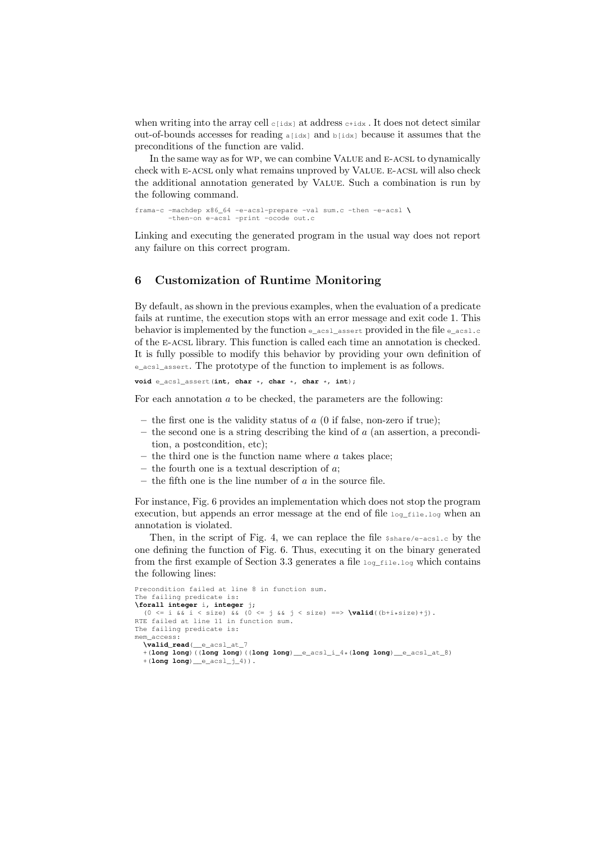when writing into the array cell  $_{c[idx]}$  at address  $_{c+idx}$ . It does not detect similar out-of-bounds accesses for reading  $a[idx]$  and  $b[idx]$  because it assumes that the preconditions of the function are valid.

In the same way as for wp, we can combine Value and e-acsl to dynamically check with e-acsl only what remains unproved by Value. e-acsl will also check the additional annotation generated by Value. Such a combination is run by the following command.

```
frama-c -machdep x86_64 -e-acsl-prepare -val sum.c -then -e-acsl \
        -then-on e-acsl -print -ocode out.c
```
Linking and executing the generated program in the usual way does not report any failure on this correct program.

# 6 Customization of Runtime Monitoring

By default, as shown in the previous examples, when the evaluation of a predicate fails at runtime, the execution stops with an error message and exit code 1. This behavior is implemented by the function e\_acsl\_assert provided in the file e\_acsl.c of the e-acsl library. This function is called each time an annotation is checked. It is fully possible to modify this behavior by providing your own definition of e\_acsl\_assert. The prototype of the function to implement is as follows.

**void** e\_acsl\_assert(**int**, **char** \*, **char** \*, **char** \*, **int**);

For each annotation a to be checked, the parameters are the following:

- the first one is the validity status of  $a$  (0 if false, non-zero if true);
- the second one is a string describing the kind of  $a$  (an assertion, a precondition, a postcondition, etc);
- the third one is the function name where  $a$  takes place;
- $-$  the fourth one is a textual description of  $\alpha$ .
- the fifth one is the line number of  $a$  in the source file.

For instance, Fig. 6 provides an implementation which does not stop the program execution, but appends an error message at the end of file  $log_f$ ile.log when an annotation is violated.

Then, in the script of Fig. 4, we can replace the file  $\frac{1}{10}$   $\frac{1}{10}$  share/e-acsl.c by the one defining the function of Fig. 6. Thus, executing it on the binary generated from the first example of Section 3.3 generates a file log\_file.log which contains the following lines:

```
Precondition failed at line 8 in function sum.
The failing predicate is:
\forall integer i, integer j;
(0 <= i && i < size) && (0 <= j && j < size) ==> \valid((b+i*size)+j).
RTE failed at line 11 in function sum.
The failing predicate is:
mem_access:
  \valid_read(__e_acsl_at_7
  +(long long)((long long)((long long)__e_acsl_i_4*(long long)__e_acsl_at_8)
  +(long long)__e_acsl_j_4)).
```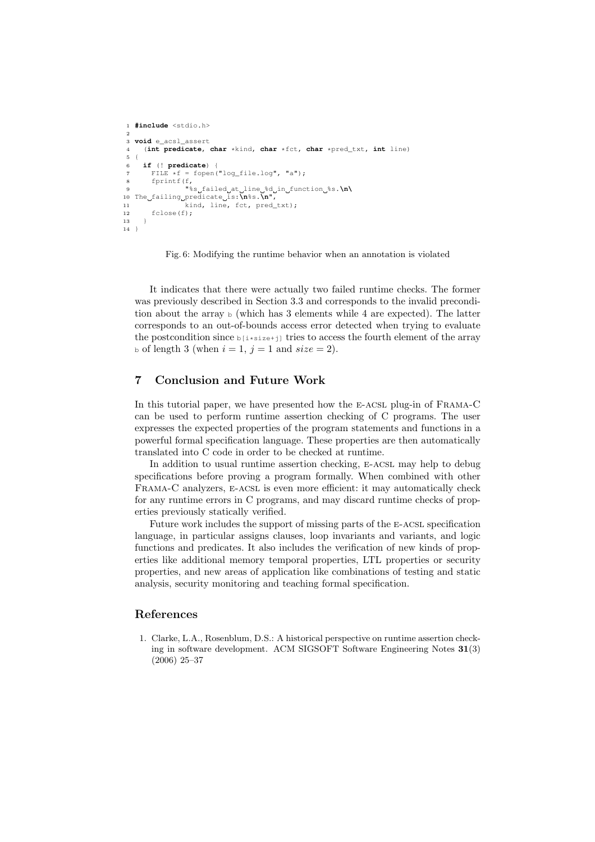```
1 #include <stdio.h>
 2
3 void e_acsl_assert
 4 (int predicate, char *kind, char *fct, char *pred_txt, int line)
   \overline{f}6 if (! predicate) {
 7 FILE *f = fopen("log_file.log", "a");<br>8 forintf(f
        fprintf(f,
9 "%s failed at line %d in function %s.\n\
10 The failing predicate is:\n%s.\n",
11 kind, line, fct, pred_txt);
12 fclose(f);
\begin{array}{ccc} 13 & & \end{array}14 - 1
```
Fig. 6: Modifying the runtime behavior when an annotation is violated

It indicates that there were actually two failed runtime checks. The former was previously described in Section 3.3 and corresponds to the invalid precondition about the array  $\beta$  (which has 3 elements while 4 are expected). The latter corresponds to an out-of-bounds access error detected when trying to evaluate the postcondition since  $b[i*size+j]$  tries to access the fourth element of the array b of length 3 (when  $i = 1$ ,  $j = 1$  and  $size = 2$ ).

# 7 Conclusion and Future Work

In this tutorial paper, we have presented how the E-ACSL plug-in of FRAMA-C can be used to perform runtime assertion checking of C programs. The user expresses the expected properties of the program statements and functions in a powerful formal specification language. These properties are then automatically translated into C code in order to be checked at runtime.

In addition to usual runtime assertion checking, e-acsl may help to debug specifications before proving a program formally. When combined with other Frama-C analyzers, e-acsl is even more efficient: it may automatically check for any runtime errors in C programs, and may discard runtime checks of properties previously statically verified.

Future work includes the support of missing parts of the e-acsl specification language, in particular assigns clauses, loop invariants and variants, and logic functions and predicates. It also includes the verification of new kinds of properties like additional memory temporal properties, LTL properties or security properties, and new areas of application like combinations of testing and static analysis, security monitoring and teaching formal specification.

# References

1. Clarke, L.A., Rosenblum, D.S.: A historical perspective on runtime assertion checking in software development. ACM SIGSOFT Software Engineering Notes 31(3) (2006) 25–37